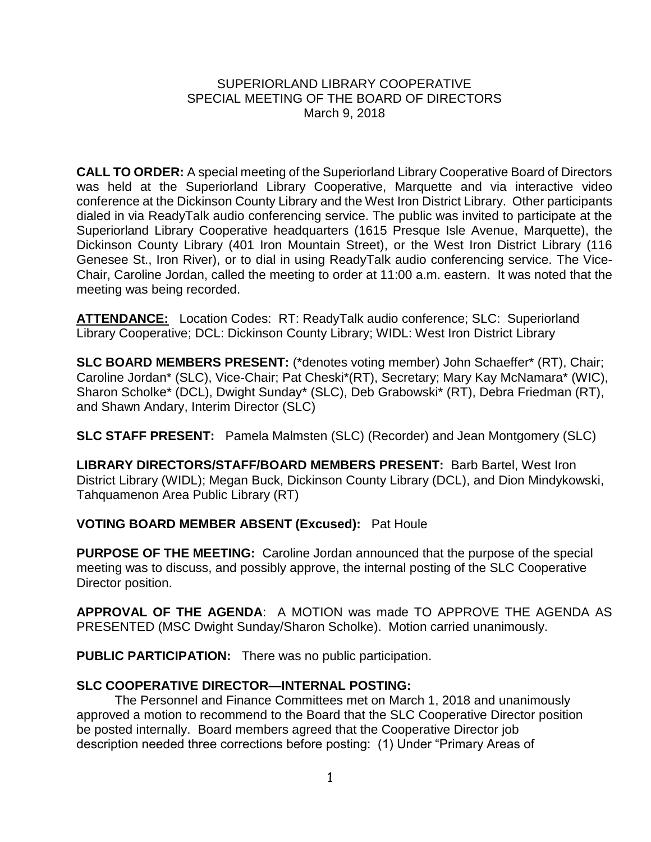## SUPERIORLAND LIBRARY COOPERATIVE SPECIAL MEETING OF THE BOARD OF DIRECTORS March 9, 2018

**CALL TO ORDER:** A special meeting of the Superiorland Library Cooperative Board of Directors was held at the Superiorland Library Cooperative, Marquette and via interactive video conference at the Dickinson County Library and the West Iron District Library. Other participants dialed in via ReadyTalk audio conferencing service. The public was invited to participate at the Superiorland Library Cooperative headquarters (1615 Presque Isle Avenue, Marquette), the Dickinson County Library (401 Iron Mountain Street), or the West Iron District Library (116 Genesee St., Iron River), or to dial in using ReadyTalk audio conferencing service. The Vice-Chair, Caroline Jordan, called the meeting to order at 11:00 a.m. eastern. It was noted that the meeting was being recorded.

**ATTENDANCE:** Location Codes: RT: ReadyTalk audio conference; SLC: Superiorland Library Cooperative; DCL: Dickinson County Library; WIDL: West Iron District Library

**SLC BOARD MEMBERS PRESENT:** (\*denotes voting member) John Schaeffer\* (RT), Chair; Caroline Jordan\* (SLC), Vice-Chair; Pat Cheski\*(RT), Secretary; Mary Kay McNamara\* (WIC), Sharon Scholke\* (DCL), Dwight Sunday\* (SLC), Deb Grabowski\* (RT), Debra Friedman (RT), and Shawn Andary, Interim Director (SLC)

**SLC STAFF PRESENT:** Pamela Malmsten (SLC) (Recorder) and Jean Montgomery (SLC)

**LIBRARY DIRECTORS/STAFF/BOARD MEMBERS PRESENT:** Barb Bartel, West Iron District Library (WIDL); Megan Buck, Dickinson County Library (DCL), and Dion Mindykowski, Tahquamenon Area Public Library (RT)

## **VOTING BOARD MEMBER ABSENT (Excused):** Pat Houle

**PURPOSE OF THE MEETING:** Caroline Jordan announced that the purpose of the special meeting was to discuss, and possibly approve, the internal posting of the SLC Cooperative Director position.

**APPROVAL OF THE AGENDA**: A MOTION was made TO APPROVE THE AGENDA AS PRESENTED (MSC Dwight Sunday/Sharon Scholke). Motion carried unanimously.

**PUBLIC PARTICIPATION:** There was no public participation.

## **SLC COOPERATIVE DIRECTOR—INTERNAL POSTING:**

The Personnel and Finance Committees met on March 1, 2018 and unanimously approved a motion to recommend to the Board that the SLC Cooperative Director position be posted internally. Board members agreed that the Cooperative Director job description needed three corrections before posting: (1) Under "Primary Areas of